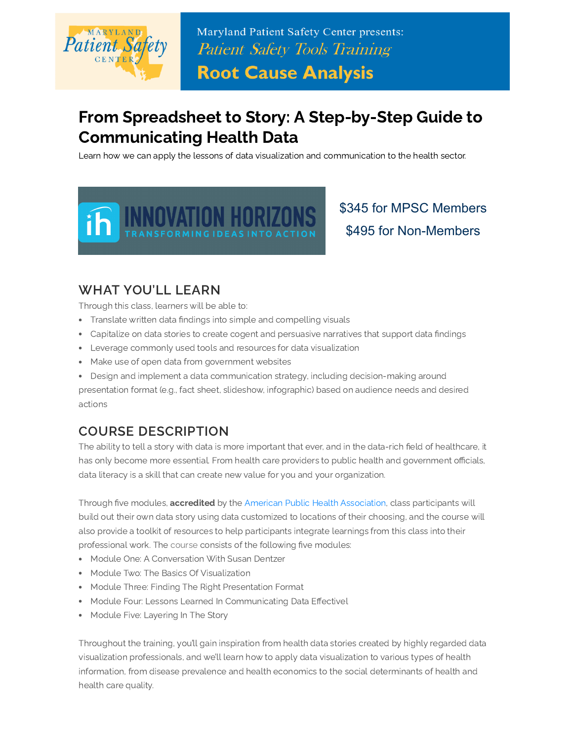

Maryland Patient Safety Center presents: **Patient Safety Tools Training** 

**Root Cause Analysis** 

## From Spreadsheet to Story: A Step-by-Step Guide to Communicating Health Data

Learn how we can apply the lessons of data visualization and communication to the health sector.



\$345 for MPSC Members \$495 for Non-Members

## WHAT YOU'LL LEARN

Through this class, learners will be able to:

- Translate written data findings into simple and compelling visuals
- Capitalize on data stories to create cogent and persuasive narratives that support data findings
- Leverage commonly used tools and resources for data visualization
- Make use of open data from government websites
- Design and implement a data communication strategy, including decision-making around

presentation format (e.g., fact sheet, slideshow, infographic) based on audience needs and desired actions

## COURSE DESCRIPTION

The ability to tell a story with data is more important that ever, and in the data-rich field of healthcare, it has only become more essential. From health care providers to public health and government officials, data literacy is a skill that can create new value for you and your organization.

Through five modules, accredited by the [American Public Health Association](https://www.apha.org/), class participants will build out their own data story using data customized to locations of their choosing, and the course will also provide a toolkit of resources to help participants integrate learnings from this class into their professional work. The [course](https://cme.smhs.gwu.edu/content/spreadsheet-story-step-step-guide-communicating-data#group-tabs-node-course-default2) consists of the following five modules:

- Module One: A Conversation With Susan Dentzer
- Module Two: The Basics Of Visualization
- Module Three: Finding The Right Presentation Format
- Module Four: Lessons Learned In Communicating Data Effectivel
- Module Five: Layering In The Story

Throughout the training, you'll gain inspiration from health data stories created by highly regarded data visualization professionals, and we'll learn how to apply data visualization to various types of health information, from disease prevalence and health economics to the social determinants of health and health care quality.